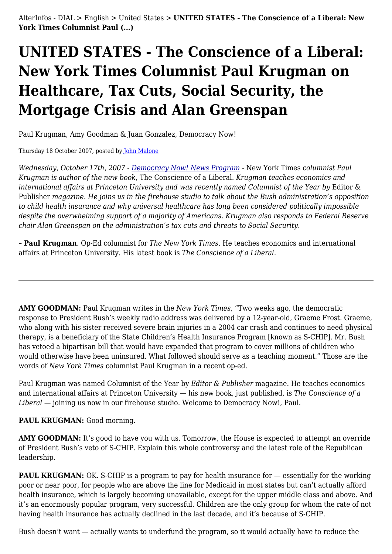# **UNITED STATES - The Conscience of a Liberal: New York Times Columnist Paul Krugman on Healthcare, Tax Cuts, Social Security, the Mortgage Crisis and Alan Greenspan**

Paul Krugman, Amy Goodman & Juan Gonzalez, Democracy Now!

Thursday 18 October 2007, posted by [John Malone](https://www.alterinfos.org/spip.php?auteur19)

*Wednesday, October 17th, 2007 - [Democracy Now! News Program](http://www.democracynow.org/) -* New York Times *columnist Paul Krugman is author of the new book*, The Conscience of a Liberal. *Krugman teaches economics and international affairs at Princeton University and was recently named Columnist of the Year by* Editor & Publisher *magazine. He joins us in the firehouse studio to talk about the Bush administration's opposition to child health insurance and why universal healthcare has long been considered politically impossible despite the overwhelming support of a majority of Americans. Krugman also responds to Federal Reserve chair Alan Greenspan on the administration's tax cuts and threats to Social Security.*

**– Paul Krugman**. Op-Ed columnist for *The New York Times*. He teaches economics and international affairs at Princeton University. His latest book is *The Conscience of a Liberal*.

**AMY GOODMAN:** Paul Krugman writes in the *New York Times*, "Two weeks ago, the democratic response to President Bush's weekly radio address was delivered by a 12-year-old, Graeme Frost. Graeme, who along with his sister received severe brain injuries in a 2004 car crash and continues to need physical therapy, is a beneficiary of the State Children's Health Insurance Program [known as S-CHIP]. Mr. Bush has vetoed a bipartisan bill that would have expanded that program to cover millions of children who would otherwise have been uninsured. What followed should serve as a teaching moment." Those are the words of *New York Times* columnist Paul Krugman in a recent op-ed.

Paul Krugman was named Columnist of the Year by *Editor & Publisher* magazine. He teaches economics and international affairs at Princeton University — his new book, just published, is *The Conscience of a Liberal* — joining us now in our firehouse studio. Welcome to Democracy Now!, Paul.

# PAUL KRUGMAN: Good morning.

AMY GOODMAN: It's good to have you with us. Tomorrow, the House is expected to attempt an override of President Bush's veto of S-CHIP. Explain this whole controversy and the latest role of the Republican leadership.

**PAUL KRUGMAN:** OK. S-CHIP is a program to pay for health insurance for — essentially for the working poor or near poor, for people who are above the line for Medicaid in most states but can't actually afford health insurance, which is largely becoming unavailable, except for the upper middle class and above. And it's an enormously popular program, very successful. Children are the only group for whom the rate of not having health insurance has actually declined in the last decade, and it's because of S-CHIP.

Bush doesn't want — actually wants to underfund the program, so it would actually have to reduce the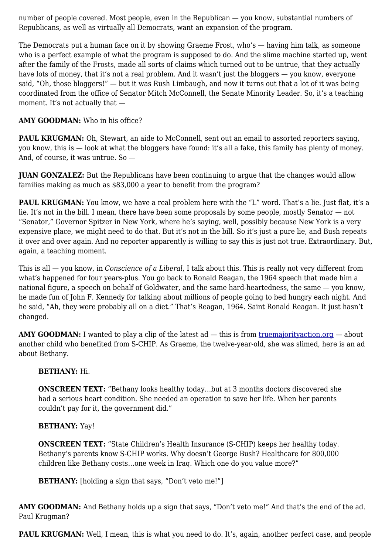number of people covered. Most people, even in the Republican — you know, substantial numbers of Republicans, as well as virtually all Democrats, want an expansion of the program.

The Democrats put a human face on it by showing Graeme Frost, who's — having him talk, as someone who is a perfect example of what the program is supposed to do. And the slime machine started up, went after the family of the Frosts, made all sorts of claims which turned out to be untrue, that they actually have lots of money, that it's not a real problem. And it wasn't just the bloggers — you know, everyone said, "Oh, those bloggers!" — but it was Rush Limbaugh, and now it turns out that a lot of it was being coordinated from the office of Senator Mitch McConnell, the Senate Minority Leader. So, it's a teaching moment. It's not actually that —

# **AMY GOODMAN:** Who in his office?

PAUL KRUGMAN: Oh, Stewart, an aide to McConnell, sent out an email to assorted reporters saying, you know, this is — look at what the bloggers have found: it's all a fake, this family has plenty of money. And, of course, it was untrue. So —

**JUAN GONZALEZ:** But the Republicans have been continuing to argue that the changes would allow families making as much as \$83,000 a year to benefit from the program?

**PAUL KRUGMAN:** You know, we have a real problem here with the "L" word. That's a lie. Just flat, it's a lie. It's not in the bill. I mean, there have been some proposals by some people, mostly Senator — not "Senator," Governor Spitzer in New York, where he's saying, well, possibly because New York is a very expensive place, we might need to do that. But it's not in the bill. So it's just a pure lie, and Bush repeats it over and over again. And no reporter apparently is willing to say this is just not true. Extraordinary. But, again, a teaching moment.

This is all — you know, in *Conscience of a Liberal*, I talk about this. This is really not very different from what's happened for four years-plus. You go back to Ronald Reagan, the 1964 speech that made him a national figure, a speech on behalf of Goldwater, and the same hard-heartedness, the same — you know, he made fun of John F. Kennedy for talking about millions of people going to bed hungry each night. And he said, "Ah, they were probably all on a diet." That's Reagan, 1964. Saint Ronald Reagan. It just hasn't changed.

**AMY GOODMAN:** I wanted to play a clip of the latest ad — this is from truemajority action.org — about another child who benefited from S-CHIP. As Graeme, the twelve-year-old, she was slimed, here is an ad about Bethany.

# **BETHANY:** Hi.

**ONSCREEN TEXT:** "Bethany looks healthy today...but at 3 months doctors discovered she had a serious heart condition. She needed an operation to save her life. When her parents couldn't pay for it, the government did."

# **BETHANY:** Yay!

**ONSCREEN TEXT:** "State Children's Health Insurance (S-CHIP) keeps her healthy today. Bethany's parents know S-CHIP works. Why doesn't George Bush? Healthcare for 800,000 children like Bethany costs…one week in Iraq. Which one do you value more?"

**BETHANY:** [holding a sign that says, "Don't veto me!"]

**AMY GOODMAN:** And Bethany holds up a sign that says, "Don't veto me!" And that's the end of the ad. Paul Krugman?

**PAUL KRUGMAN:** Well, I mean, this is what you need to do. It's, again, another perfect case, and people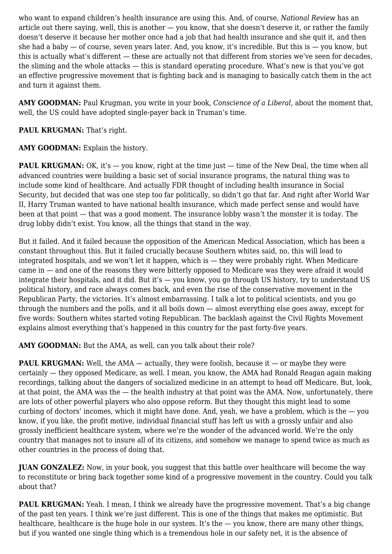who want to expand children's health insurance are using this. And, of course, *National Review* has an article out there saying, well, this is another — you know, that she doesn't deserve it, or rather the family doesn't deserve it because her mother once had a job that had health insurance and she quit it, and then she had a baby — of course, seven years later. And, you know, it's incredible. But this is — you know, but this is actually what's different — these are actually not that different from stories we've seen for decades, the sliming and the whole attacks — this is standard operating procedure. What's new is that you've got an effective progressive movement that is fighting back and is managing to basically catch them in the act and turn it against them.

**AMY GOODMAN:** Paul Krugman, you write in your book, *Conscience of a Liberal*, about the moment that, well, the US could have adopted single-payer back in Truman's time.

# PAUL KRUGMAN: That's right.

AMY GOODMAN: Explain the history.

**PAUL KRUGMAN:** OK, it's — you know, right at the time just — time of the New Deal, the time when all advanced countries were building a basic set of social insurance programs, the natural thing was to include some kind of healthcare. And actually FDR thought of including health insurance in Social Security, but decided that was one step too far politically, so didn't go that far. And right after World War II, Harry Truman wanted to have national health insurance, which made perfect sense and would have been at that point — that was a good moment. The insurance lobby wasn't the monster it is today. The drug lobby didn't exist. You know, all the things that stand in the way.

But it failed. And it failed because the opposition of the American Medical Association, which has been a constant throughout this. But it failed crucially because Southern whites said, no, this will lead to integrated hospitals, and we won't let it happen, which is — they were probably right. When Medicare came in — and one of the reasons they were bitterly opposed to Medicare was they were afraid it would integrate their hospitals, and it did. But it's — you know, you go through US history, try to understand US political history, and race always comes back, and even the rise of the conservative movement in the Republican Party, the victories. It's almost embarrassing. I talk a lot to political scientists, and you go through the numbers and the polls, and it all boils down — almost everything else goes away, except for five words: Southern whites started voting Republican. The backlash against the Civil Rights Movement explains almost everything that's happened in this country for the past forty-five years.

**AMY GOODMAN:** But the AMA, as well, can you talk about their role?

**PAUL KRUGMAN:** Well, the AMA — actually, they were foolish, because it — or maybe they were certainly — they opposed Medicare, as well. I mean, you know, the AMA had Ronald Reagan again making recordings, talking about the dangers of socialized medicine in an attempt to head off Medicare. But, look, at that point, the AMA was the — the health industry at that point was the AMA. Now, unfortunately, there are lots of other powerful players who also oppose reform. But they thought this might lead to some curbing of doctors' incomes, which it might have done. And, yeah, we have a problem, which is the  $-$  you know, if you like, the profit motive, individual financial stuff has left us with a grossly unfair and also grossly inefficient healthcare system, where we're the wonder of the advanced world. We're the only country that manages not to insure all of its citizens, and somehow we manage to spend twice as much as other countries in the process of doing that.

**JUAN GONZALEZ:** Now, in your book, you suggest that this battle over healthcare will become the way to reconstitute or bring back together some kind of a progressive movement in the country. Could you talk about that?

**PAUL KRUGMAN:** Yeah. I mean, I think we already have the progressive movement. That's a big change of the past ten years. I think we're just different. This is one of the things that makes me optimistic. But healthcare, healthcare is the huge hole in our system. It's the — you know, there are many other things, but if you wanted one single thing which is a tremendous hole in our safety net, it is the absence of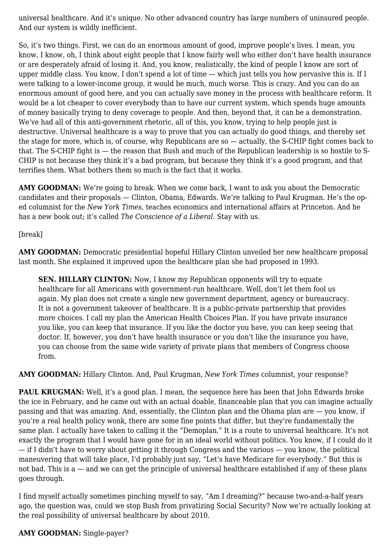universal healthcare. And it's unique. No other advanced country has large numbers of uninsured people. And our system is wildly inefficient.

So, it's two things. First, we can do an enormous amount of good, improve people's lives. I mean, you know, I know, oh, I think about eight people that I know fairly well who either don't have health insurance or are desperately afraid of losing it. And, you know, realistically, the kind of people I know are sort of upper middle class. You know, I don't spend a lot of time — which just tells you how pervasive this is. If I were talking to a lower-income group, it would be much, much worse. This is crazy. And you can do an enormous amount of good here, and you can actually save money in the process with healthcare reform. It would be a lot cheaper to cover everybody than to have our current system, which spends huge amounts of money basically trying to deny coverage to people. And then, beyond that, it can be a demonstration. We've had all of this anti-government rhetoric, all of this, you know, trying to help people just is destructive. Universal healthcare is a way to prove that you can actually do good things, and thereby set the stage for more, which is, of course, why Republicans are so — actually, the S-CHIP fight comes back to that. The S-CHIP fight is — the reason that Bush and much of the Republican leadership is so hostile to S-CHIP is not because they think it's a bad program, but because they think it's a good program, and that terrifies them. What bothers them so much is the fact that it works.

**AMY GOODMAN:** We're going to break. When we come back, I want to ask you about the Democratic candidates and their proposals — Clinton, Obama, Edwards. We're talking to Paul Krugman. He's the oped columnist for the *New York Times*, teaches economics and international affairs at Princeton. And he has a new book out; it's called *The Conscience of a Liberal*. Stay with us.

# [break]

**AMY GOODMAN:** Democratic presidential hopeful Hillary Clinton unveiled her new healthcare proposal last month. She explained it improved upon the healthcare plan she had proposed in 1993.

**SEN. HILLARY CLINTON:** Now, I know my Republican opponents will try to equate healthcare for all Americans with government-run healthcare. Well, don't let them fool us again. My plan does not create a single new government department, agency or bureaucracy. It is not a government takeover of healthcare. It is a public-private partnership that provides more choices. I call my plan the American Health Choices Plan. If you have private insurance you like, you can keep that insurance. If you like the doctor you have, you can keep seeing that doctor. If, however, you don't have health insurance or you don't like the insurance you have, you can choose from the same wide variety of private plans that members of Congress choose from.

**AMY GOODMAN:** Hillary Clinton. And, Paul Krugman, *New York Times* columnist, your response?

PAUL KRUGMAN: Well, it's a good plan. I mean, the sequence here has been that John Edwards broke the ice in February, and he came out with an actual doable, financeable plan that you can imagine actually passing and that was amazing. And, essentially, the Clinton plan and the Obama plan are — you know, if you're a real health policy wonk, there are some fine points that differ, but they're fundamentally the same plan. I actually have taken to calling it the "Demoplan." It is a route to universal healthcare. It's not exactly the program that I would have gone for in an ideal world without politics. You know, if I could do it — if I didn't have to worry about getting it through Congress and the various — you know, the political maneuvering that will take place, I'd probably just say, "Let's have Medicare for everybody." But this is not bad. This is a — and we can get the principle of universal healthcare established if any of these plans goes through.

I find myself actually sometimes pinching myself to say, "Am I dreaming?" because two-and-a-half years ago, the question was, could we stop Bush from privatizing Social Security? Now we're actually looking at the real possibility of universal healthcare by about 2010.

#### **AMY GOODMAN:** Single-payer?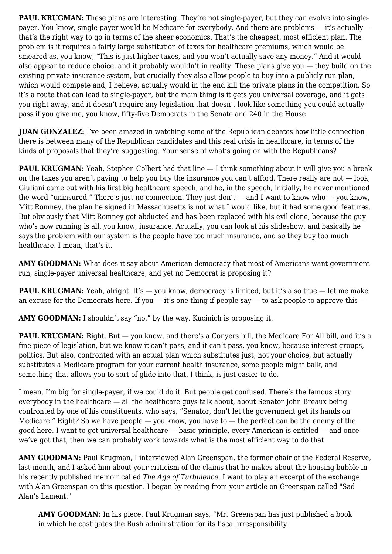**PAUL KRUGMAN:** These plans are interesting. They're not single-payer, but they can evolve into singlepayer. You know, single-payer would be Medicare for everybody. And there are problems — it's actually that's the right way to go in terms of the sheer economics. That's the cheapest, most efficient plan. The problem is it requires a fairly large substitution of taxes for healthcare premiums, which would be smeared as, you know, "This is just higher taxes, and you won't actually save any money." And it would also appear to reduce choice, and it probably wouldn't in reality. These plans give you — they build on the existing private insurance system, but crucially they also allow people to buy into a publicly run plan, which would compete and, I believe, actually would in the end kill the private plans in the competition. So it's a route that can lead to single-payer, but the main thing is it gets you universal coverage, and it gets you right away, and it doesn't require any legislation that doesn't look like something you could actually pass if you give me, you know, fifty-five Democrats in the Senate and 240 in the House.

**JUAN GONZALEZ:** I've been amazed in watching some of the Republican debates how little connection there is between many of the Republican candidates and this real crisis in healthcare, in terms of the kinds of proposals that they're suggesting. Your sense of what's going on with the Republicans?

**PAUL KRUGMAN:** Yeah, Stephen Colbert had that line  $-$  I think something about it will give you a break on the taxes you aren't paying to help you buy the insurance you can't afford. There really are not — look, Giuliani came out with his first big healthcare speech, and he, in the speech, initially, he never mentioned the word "uninsured." There's just no connection. They just don't  $-$  and I want to know who  $-$  you know, Mitt Romney, the plan he signed in Massachusetts is not what I would like, but it had some good features. But obviously that Mitt Romney got abducted and has been replaced with his evil clone, because the guy who's now running is all, you know, insurance. Actually, you can look at his slideshow, and basically he says the problem with our system is the people have too much insurance, and so they buy too much healthcare. I mean, that's it.

**AMY GOODMAN:** What does it say about American democracy that most of Americans want governmentrun, single-payer universal healthcare, and yet no Democrat is proposing it?

**PAUL KRUGMAN:** Yeah, alright. It's - you know, democracy is limited, but it's also true - let me make an excuse for the Democrats here. If you  $-$  it's one thing if people say  $-$  to ask people to approve this  $-$ 

AMY GOODMAN: I shouldn't say "no," by the way. Kucinich is proposing it.

**PAUL KRUGMAN:** Right. But — you know, and there's a Convers bill, the Medicare For All bill, and it's a fine piece of legislation, but we know it can't pass, and it can't pass, you know, because interest groups, politics. But also, confronted with an actual plan which substitutes just, not your choice, but actually substitutes a Medicare program for your current health insurance, some people might balk, and something that allows you to sort of glide into that, I think, is just easier to do.

I mean, I'm big for single-payer, if we could do it. But people get confused. There's the famous story everybody in the healthcare — all the healthcare guys talk about, about Senator John Breaux being confronted by one of his constituents, who says, "Senator, don't let the government get its hands on Medicare." Right? So we have people  $-$  you know, you have to  $-$  the perfect can be the enemy of the good here. I want to get universal healthcare — basic principle, every American is entitled — and once we've got that, then we can probably work towards what is the most efficient way to do that.

**AMY GOODMAN:** Paul Krugman, I interviewed Alan Greenspan, the former chair of the Federal Reserve, last month, and I asked him about your criticism of the claims that he makes about the housing bubble in his recently published memoir called *The Age of Turbulence*. I want to play an excerpt of the exchange with Alan Greenspan on this question. I began by reading from your article on Greenspan called "Sad Alan's Lament."

**AMY GOODMAN:** In his piece, Paul Krugman says, "Mr. Greenspan has just published a book in which he castigates the Bush administration for its fiscal irresponsibility.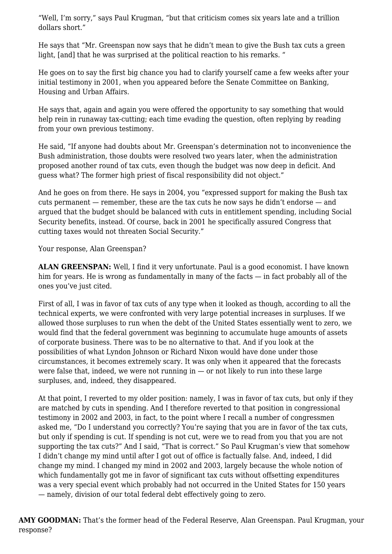"Well, I'm sorry," says Paul Krugman, "but that criticism comes six years late and a trillion dollars short."

He says that "Mr. Greenspan now says that he didn't mean to give the Bush tax cuts a green light, [and] that he was surprised at the political reaction to his remarks. "

He goes on to say the first big chance you had to clarify yourself came a few weeks after your initial testimony in 2001, when you appeared before the Senate Committee on Banking, Housing and Urban Affairs.

He says that, again and again you were offered the opportunity to say something that would help rein in runaway tax-cutting; each time evading the question, often replying by reading from your own previous testimony.

He said, "If anyone had doubts about Mr. Greenspan's determination not to inconvenience the Bush administration, those doubts were resolved two years later, when the administration proposed another round of tax cuts, even though the budget was now deep in deficit. And guess what? The former high priest of fiscal responsibility did not object."

And he goes on from there. He says in 2004, you "expressed support for making the Bush tax cuts permanent — remember, these are the tax cuts he now says he didn't endorse — and argued that the budget should be balanced with cuts in entitlement spending, including Social Security benefits, instead. Of course, back in 2001 he specifically assured Congress that cutting taxes would not threaten Social Security."

Your response, Alan Greenspan?

**ALAN GREENSPAN:** Well, I find it very unfortunate. Paul is a good economist. I have known him for years. He is wrong as fundamentally in many of the facts — in fact probably all of the ones you've just cited.

First of all, I was in favor of tax cuts of any type when it looked as though, according to all the technical experts, we were confronted with very large potential increases in surpluses. If we allowed those surpluses to run when the debt of the United States essentially went to zero, we would find that the federal government was beginning to accumulate huge amounts of assets of corporate business. There was to be no alternative to that. And if you look at the possibilities of what Lyndon Johnson or Richard Nixon would have done under those circumstances, it becomes extremely scary. It was only when it appeared that the forecasts were false that, indeed, we were not running in  $-$  or not likely to run into these large surpluses, and, indeed, they disappeared.

At that point, I reverted to my older position: namely, I was in favor of tax cuts, but only if they are matched by cuts in spending. And I therefore reverted to that position in congressional testimony in 2002 and 2003, in fact, to the point where I recall a number of congressmen asked me, "Do I understand you correctly? You're saying that you are in favor of the tax cuts, but only if spending is cut. If spending is not cut, were we to read from you that you are not supporting the tax cuts?" And I said, "That is correct." So Paul Krugman's view that somehow I didn't change my mind until after I got out of office is factually false. And, indeed, I did change my mind. I changed my mind in 2002 and 2003, largely because the whole notion of which fundamentally got me in favor of significant tax cuts without offsetting expenditures was a very special event which probably had not occurred in the United States for 150 years — namely, division of our total federal debt effectively going to zero.

**AMY GOODMAN:** That's the former head of the Federal Reserve, Alan Greenspan. Paul Krugman, your response?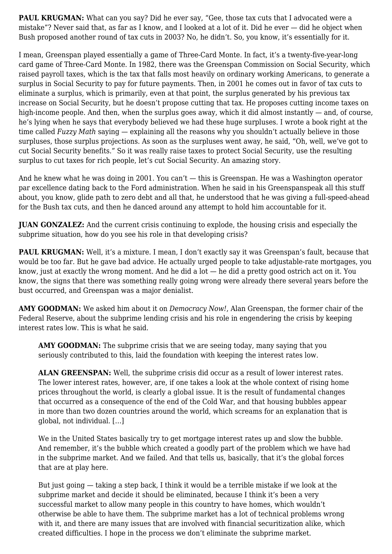**PAUL KRUGMAN:** What can you say? Did he ever say, "Gee, those tax cuts that I advocated were a mistake"? Never said that, as far as I know, and I looked at a lot of it. Did he ever — did he object when Bush proposed another round of tax cuts in 2003? No, he didn't. So, you know, it's essentially for it.

I mean, Greenspan played essentially a game of Three-Card Monte. In fact, it's a twenty-five-year-long card game of Three-Card Monte. In 1982, there was the Greenspan Commission on Social Security, which raised payroll taxes, which is the tax that falls most heavily on ordinary working Americans, to generate a surplus in Social Security to pay for future payments. Then, in 2001 he comes out in favor of tax cuts to eliminate a surplus, which is primarily, even at that point, the surplus generated by his previous tax increase on Social Security, but he doesn't propose cutting that tax. He proposes cutting income taxes on high-income people. And then, when the surplus goes away, which it did almost instantly — and, of course, he's lying when he says that everybody believed we had these huge surpluses. I wrote a book right at the time called *Fuzzy Math* saying — explaining all the reasons why you shouldn't actually believe in those surpluses, those surplus projections. As soon as the surpluses went away, he said, "Oh, well, we've got to cut Social Security benefits." So it was really raise taxes to protect Social Security, use the resulting surplus to cut taxes for rich people, let's cut Social Security. An amazing story.

And he knew what he was doing in 2001. You can't — this is Greenspan. He was a Washington operator par excellence dating back to the Ford administration. When he said in his Greenspanspeak all this stuff about, you know, glide path to zero debt and all that, he understood that he was giving a full-speed-ahead for the Bush tax cuts, and then he danced around any attempt to hold him accountable for it.

**JUAN GONZALEZ:** And the current crisis continuing to explode, the housing crisis and especially the subprime situation, how do you see his role in that developing crisis?

PAUL KRUGMAN: Well, it's a mixture. I mean, I don't exactly say it was Greenspan's fault, because that would be too far. But he gave bad advice. He actually urged people to take adjustable-rate mortgages, you know, just at exactly the wrong moment. And he did a lot — he did a pretty good ostrich act on it. You know, the signs that there was something really going wrong were already there several years before the bust occurred, and Greenspan was a major denialist.

**AMY GOODMAN:** We asked him about it on *Democracy Now!*, Alan Greenspan, the former chair of the Federal Reserve, about the subprime lending crisis and his role in engendering the crisis by keeping interest rates low. This is what he said.

**AMY GOODMAN:** The subprime crisis that we are seeing today, many saying that you seriously contributed to this, laid the foundation with keeping the interest rates low.

**ALAN GREENSPAN:** Well, the subprime crisis did occur as a result of lower interest rates. The lower interest rates, however, are, if one takes a look at the whole context of rising home prices throughout the world, is clearly a global issue. It is the result of fundamental changes that occurred as a consequence of the end of the Cold War, and that housing bubbles appear in more than two dozen countries around the world, which screams for an explanation that is global, not individual. […]

We in the United States basically try to get mortgage interest rates up and slow the bubble. And remember, it's the bubble which created a goodly part of the problem which we have had in the subprime market. And we failed. And that tells us, basically, that it's the global forces that are at play here.

But just going — taking a step back, I think it would be a terrible mistake if we look at the subprime market and decide it should be eliminated, because I think it's been a very successful market to allow many people in this country to have homes, which wouldn't otherwise be able to have them. The subprime market has a lot of technical problems wrong with it, and there are many issues that are involved with financial securitization alike, which created difficulties. I hope in the process we don't eliminate the subprime market.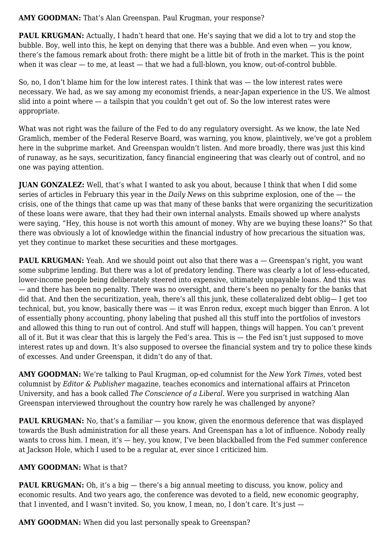#### **AMY GOODMAN:** That's Alan Greenspan. Paul Krugman, your response?

**PAUL KRUGMAN:** Actually, I hadn't heard that one. He's saying that we did a lot to try and stop the bubble. Boy, well into this, he kept on denying that there was a bubble. And even when — you know, there's the famous remark about froth: there might be a little bit of froth in the market. This is the point when it was clear — to me, at least — that we had a full-blown, you know, out-of-control bubble.

So, no, I don't blame him for the low interest rates. I think that was — the low interest rates were necessary. We had, as we say among my economist friends, a near-Japan experience in the US. We almost slid into a point where — a tailspin that you couldn't get out of. So the low interest rates were appropriate.

What was not right was the failure of the Fed to do any regulatory oversight. As we know, the late Ned Gramlich, member of the Federal Reserve Board, was warning, you know, plaintively, we've got a problem here in the subprime market. And Greenspan wouldn't listen. And more broadly, there was just this kind of runaway, as he says, securitization, fancy financial engineering that was clearly out of control, and no one was paying attention.

**JUAN GONZALEZ:** Well, that's what I wanted to ask you about, because I think that when I did some series of articles in February this year in the *Daily News* on this subprime explosion, one of the — the crisis, one of the things that came up was that many of these banks that were organizing the securitization of these loans were aware, that they had their own internal analysts. Emails showed up where analysts were saying, "Hey, this house is not worth this amount of money. Why are we buying these loans?" So that there was obviously a lot of knowledge within the financial industry of how precarious the situation was, yet they continue to market these securities and these mortgages.

**PAUL KRUGMAN:** Yeah. And we should point out also that there was a — Greenspan's right, you want some subprime lending. But there was a lot of predatory lending. There was clearly a lot of less-educated, lower-income people being deliberately steered into expensive, ultimately unpayable loans. And this was — and there has been no penalty. There was no oversight, and there's been no penalty for the banks that did that. And then the securitization, yeah, there's all this junk, these collateralized debt oblig— I get too technical, but, you know, basically there was — it was Enron redux, except much bigger than Enron. A lot of essentially phony accounting, phony labeling that pushed all this stuff into the portfolios of investors and allowed this thing to run out of control. And stuff will happen, things will happen. You can't prevent all of it. But it was clear that this is largely the Fed's area. This is — the Fed isn't just supposed to move interest rates up and down. It's also supposed to oversee the financial system and try to police these kinds of excesses. And under Greenspan, it didn't do any of that.

**AMY GOODMAN:** We're talking to Paul Krugman, op-ed columnist for the *New York Times*, voted best columnist by *Editor & Publisher* magazine, teaches economics and international affairs at Princeton University, and has a book called *The Conscience of a Liberal*. Were you surprised in watching Alan Greenspan interviewed throughout the country how rarely he was challenged by anyone?

**PAUL KRUGMAN:** No, that's a familiar — you know, given the enormous deference that was displayed towards the Bush administration for all these years. And Greenspan has a lot of influence. Nobody really wants to cross him. I mean, it's — hey, you know, I've been blackballed from the Fed summer conference at Jackson Hole, which I used to be a regular at, ever since I criticized him.

# **AMY GOODMAN:** What is that?

**PAUL KRUGMAN:** Oh, it's a big — there's a big annual meeting to discuss, you know, policy and economic results. And two years ago, the conference was devoted to a field, new economic geography, that I invented, and I wasn't invited. So, you know, I mean, no, I don't care. It's just —

**AMY GOODMAN:** When did you last personally speak to Greenspan?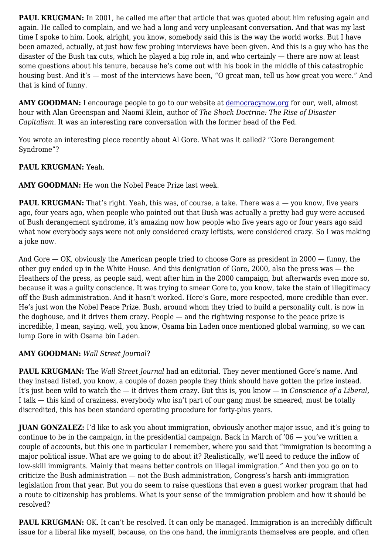**PAUL KRUGMAN:** In 2001, he called me after that article that was quoted about him refusing again and again. He called to complain, and we had a long and very unpleasant conversation. And that was my last time I spoke to him. Look, alright, you know, somebody said this is the way the world works. But I have been amazed, actually, at just how few probing interviews have been given. And this is a guy who has the disaster of the Bush tax cuts, which he played a big role in, and who certainly — there are now at least some questions about his tenure, because he's come out with his book in the middle of this catastrophic housing bust. And it's — most of the interviews have been, "O great man, tell us how great you were." And that is kind of funny.

AMY GOODMAN: I encourage people to go to our website at [democracynow.org](http://www.democracynow.org/article.pl?sid=07/09/24/1412226&tid=25) for our, well, almost hour with Alan Greenspan and Naomi Klein, author of *The Shock Doctrine: The Rise of Disaster Capitalism*. It was an interesting rare conversation with the former head of the Fed.

You wrote an interesting piece recently about Al Gore. What was it called? "Gore Derangement Syndrome"?

# **PAUL KRUGMAN:** Yeah.

**AMY GOODMAN:** He won the Nobel Peace Prize last week.

**PAUL KRUGMAN:** That's right. Yeah, this was, of course, a take. There was a — you know, five years ago, four years ago, when people who pointed out that Bush was actually a pretty bad guy were accused of Bush derangement syndrome, it's amazing now how people who five years ago or four years ago said what now everybody says were not only considered crazy leftists, were considered crazy. So I was making a joke now.

And Gore — OK, obviously the American people tried to choose Gore as president in 2000 — funny, the other guy ended up in the White House. And this denigration of Gore, 2000, also the press was — the Heathers of the press, as people said, went after him in the 2000 campaign, but afterwards even more so, because it was a guilty conscience. It was trying to smear Gore to, you know, take the stain of illegitimacy off the Bush administration. And it hasn't worked. Here's Gore, more respected, more credible than ever. He's just won the Nobel Peace Prize. Bush, around whom they tried to build a personality cult, is now in the doghouse, and it drives them crazy. People — and the rightwing response to the peace prize is incredible, I mean, saying, well, you know, Osama bin Laden once mentioned global warming, so we can lump Gore in with Osama bin Laden.

# **AMY GOODMAN:** *Wall Street Journal*?

**PAUL KRUGMAN:** The *Wall Street Journal* had an editorial. They never mentioned Gore's name. And they instead listed, you know, a couple of dozen people they think should have gotten the prize instead. It's just been wild to watch the — it drives them crazy. But this is, you know — in *Conscience of a Liberal*, I talk — this kind of craziness, everybody who isn't part of our gang must be smeared, must be totally discredited, this has been standard operating procedure for forty-plus years.

**JUAN GONZALEZ:** I'd like to ask you about immigration, obviously another major issue, and it's going to continue to be in the campaign, in the presidential campaign. Back in March of  $06 -$  you've written a couple of accounts, but this one in particular I remember, where you said that "immigration is becoming a major political issue. What are we going to do about it? Realistically, we'll need to reduce the inflow of low-skill immigrants. Mainly that means better controls on illegal immigration." And then you go on to criticize the Bush administration — not the Bush administration, Congress's harsh anti-immigration legislation from that year. But you do seem to raise questions that even a guest worker program that had a route to citizenship has problems. What is your sense of the immigration problem and how it should be resolved?

**PAUL KRUGMAN:** OK. It can't be resolved. It can only be managed. Immigration is an incredibly difficult issue for a liberal like myself, because, on the one hand, the immigrants themselves are people, and often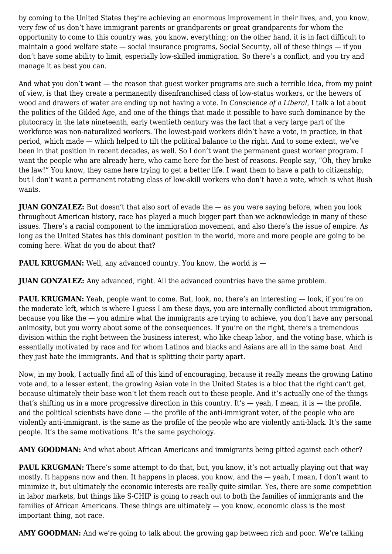by coming to the United States they're achieving an enormous improvement in their lives, and, you know, very few of us don't have immigrant parents or grandparents or great grandparents for whom the opportunity to come to this country was, you know, everything; on the other hand, it is in fact difficult to maintain a good welfare state — social insurance programs, Social Security, all of these things — if you don't have some ability to limit, especially low-skilled immigration. So there's a conflict, and you try and manage it as best you can.

And what you don't want — the reason that guest worker programs are such a terrible idea, from my point of view, is that they create a permanently disenfranchised class of low-status workers, or the hewers of wood and drawers of water are ending up not having a vote. In *Conscience of a Liberal*, I talk a lot about the politics of the Gilded Age, and one of the things that made it possible to have such dominance by the plutocracy in the late nineteenth, early twentieth century was the fact that a very large part of the workforce was non-naturalized workers. The lowest-paid workers didn't have a vote, in practice, in that period, which made — which helped to tilt the political balance to the right. And to some extent, we've been in that position in recent decades, as well. So I don't want the permanent guest worker program. I want the people who are already here, who came here for the best of reasons. People say, "Oh, they broke the law!" You know, they came here trying to get a better life. I want them to have a path to citizenship, but I don't want a permanent rotating class of low-skill workers who don't have a vote, which is what Bush wants.

**JUAN GONZALEZ:** But doesn't that also sort of evade the — as you were saying before, when you look throughout American history, race has played a much bigger part than we acknowledge in many of these issues. There's a racial component to the immigration movement, and also there's the issue of empire. As long as the United States has this dominant position in the world, more and more people are going to be coming here. What do you do about that?

**PAUL KRUGMAN:** Well, any advanced country. You know, the world is  $-$ 

**JUAN GONZALEZ:** Any advanced, right. All the advanced countries have the same problem.

**PAUL KRUGMAN:** Yeah, people want to come. But, look, no, there's an interesting — look, if you're on the moderate left, which is where I guess I am these days, you are internally conflicted about immigration, because you like the  $-$  you admire what the immigrants are trying to achieve, you don't have any personal animosity, but you worry about some of the consequences. If you're on the right, there's a tremendous division within the right between the business interest, who like cheap labor, and the voting base, which is essentially motivated by race and for whom Latinos and blacks and Asians are all in the same boat. And they just hate the immigrants. And that is splitting their party apart.

Now, in my book, I actually find all of this kind of encouraging, because it really means the growing Latino vote and, to a lesser extent, the growing Asian vote in the United States is a bloc that the right can't get, because ultimately their base won't let them reach out to these people. And it's actually one of the things that's shifting us in a more progressive direction in this country. It's  $-$  yeah, I mean, it is  $-$  the profile, and the political scientists have done — the profile of the anti-immigrant voter, of the people who are violently anti-immigrant, is the same as the profile of the people who are violently anti-black. It's the same people. It's the same motivations. It's the same psychology.

AMY GOODMAN: And what about African Americans and immigrants being pitted against each other?

**PAUL KRUGMAN:** There's some attempt to do that, but, you know, it's not actually playing out that way mostly. It happens now and then. It happens in places, you know, and the — yeah, I mean, I don't want to minimize it, but ultimately the economic interests are really quite similar. Yes, there are some competition in labor markets, but things like S-CHIP is going to reach out to both the families of immigrants and the families of African Americans. These things are ultimately — you know, economic class is the most important thing, not race.

**AMY GOODMAN:** And we're going to talk about the growing gap between rich and poor. We're talking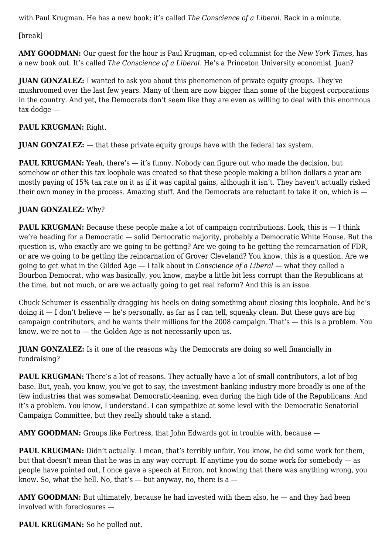with Paul Krugman. He has a new book; it's called *The Conscience of a Liberal*. Back in a minute.

[break]

**AMY GOODMAN:** Our guest for the hour is Paul Krugman, op-ed columnist for the *New York Times*, has a new book out. It's called *The Conscience of a Liberal*. He's a Princeton University economist. Juan?

**JUAN GONZALEZ:** I wanted to ask you about this phenomenon of private equity groups. They've mushroomed over the last few years. Many of them are now bigger than some of the biggest corporations in the country. And yet, the Democrats don't seem like they are even as willing to deal with this enormous tax dodge —

# **PAUL KRUGMAN:** Right.

**JUAN GONZALEZ:** — that these private equity groups have with the federal tax system.

**PAUL KRUGMAN:** Yeah, there's — it's funny. Nobody can figure out who made the decision, but somehow or other this tax loophole was created so that these people making a billion dollars a year are mostly paying of 15% tax rate on it as if it was capital gains, although it isn't. They haven't actually risked their own money in the process. Amazing stuff. And the Democrats are reluctant to take it on, which is —

# **JUAN GONZALEZ:** Why?

**PAUL KRUGMAN:** Because these people make a lot of campaign contributions. Look, this is  $-1$  think we're heading for a Democratic — solid Democratic majority, probably a Democratic White House. But the question is, who exactly are we going to be getting? Are we going to be getting the reincarnation of FDR, or are we going to be getting the reincarnation of Grover Cleveland? You know, this is a question. Are we going to get what in the Gilded Age — I talk about in *Conscience of a Liberal* — what they called a Bourbon Democrat, who was basically, you know, maybe a little bit less corrupt than the Republicans at the time, but not much, or are we actually going to get real reform? And this is an issue.

Chuck Schumer is essentially dragging his heels on doing something about closing this loophole. And he's doing it  $-$  I don't believe  $-$  he's personally, as far as I can tell, squeaky clean. But these guys are big campaign contributors, and he wants their millions for the 2008 campaign. That's — this is a problem. You know, we're not to — the Golden Age is not necessarily upon us.

**JUAN GONZALEZ:** Is it one of the reasons why the Democrats are doing so well financially in fundraising?

**PAUL KRUGMAN:** There's a lot of reasons. They actually have a lot of small contributors, a lot of big base. But, yeah, you know, you've got to say, the investment banking industry more broadly is one of the few industries that was somewhat Democratic-leaning, even during the high tide of the Republicans. And it's a problem. You know, I understand. I can sympathize at some level with the Democratic Senatorial Campaign Committee, but they really should take a stand.

**AMY GOODMAN:** Groups like Fortress, that John Edwards got in trouble with, because  $-$ 

**PAUL KRUGMAN:** Didn't actually. I mean, that's terribly unfair. You know, he did some work for them, but that doesn't mean that he was in any way corrupt. If anytime you do some work for somebody — as people have pointed out, I once gave a speech at Enron, not knowing that there was anything wrong, you know. So, what the hell. No, that's  $-$  but anyway, no, there is a  $-$ 

**AMY GOODMAN:** But ultimately, because he had invested with them also, he — and they had been involved with foreclosures —

PAUL KRUGMAN: So he pulled out.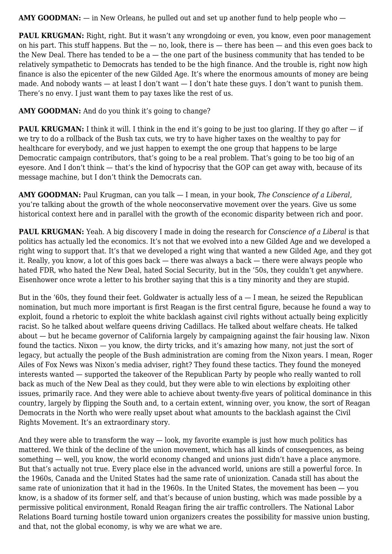**AMY GOODMAN:** — in New Orleans, he pulled out and set up another fund to help people who —

**PAUL KRUGMAN:** Right, right. But it wasn't any wrongdoing or even, you know, even poor management on his part. This stuff happens. But the  $-$  no, look, there is  $-$  there has been  $-$  and this even goes back to the New Deal. There has tended to be  $a$  — the one part of the business community that has tended to be relatively sympathetic to Democrats has tended to be the high finance. And the trouble is, right now high finance is also the epicenter of the new Gilded Age. It's where the enormous amounts of money are being made. And nobody wants — at least I don't want — I don't hate these guys. I don't want to punish them. There's no envy. I just want them to pay taxes like the rest of us.

#### AMY GOODMAN: And do you think it's going to change?

**PAUL KRUGMAN:** I think it will. I think in the end it's going to be just too glaring. If they go after — if we try to do a rollback of the Bush tax cuts, we try to have higher taxes on the wealthy to pay for healthcare for everybody, and we just happen to exempt the one group that happens to be large Democratic campaign contributors, that's going to be a real problem. That's going to be too big of an eyesore. And I don't think — that's the kind of hypocrisy that the GOP can get away with, because of its message machine, but I don't think the Democrats can.

**AMY GOODMAN:** Paul Krugman, can you talk — I mean, in your book, *The Conscience of a Liberal*, you're talking about the growth of the whole neoconservative movement over the years. Give us some historical context here and in parallel with the growth of the economic disparity between rich and poor.

**PAUL KRUGMAN:** Yeah. A big discovery I made in doing the research for *Conscience of a Liberal* is that politics has actually led the economics. It's not that we evolved into a new Gilded Age and we developed a right wing to support that. It's that we developed a right wing that wanted a new Gilded Age, and they got it. Really, you know, a lot of this goes back — there was always a back — there were always people who hated FDR, who hated the New Deal, hated Social Security, but in the '50s, they couldn't get anywhere. Eisenhower once wrote a letter to his brother saying that this is a tiny minority and they are stupid.

But in the '60s, they found their feet. Goldwater is actually less of  $a - I$  mean, he seized the Republican nomination, but much more important is first Reagan is the first central figure, because he found a way to exploit, found a rhetoric to exploit the white backlash against civil rights without actually being explicitly racist. So he talked about welfare queens driving Cadillacs. He talked about welfare cheats. He talked about — but he became governor of California largely by campaigning against the fair housing law. Nixon found the tactics. Nixon — you know, the dirty tricks, and it's amazing how many, not just the sort of legacy, but actually the people of the Bush administration are coming from the Nixon years. I mean, Roger Ailes of Fox News was Nixon's media adviser, right? They found these tactics. They found the moneyed interests wanted — supported the takeover of the Republican Party by people who really wanted to roll back as much of the New Deal as they could, but they were able to win elections by exploiting other issues, primarily race. And they were able to achieve about twenty-five years of political dominance in this country, largely by flipping the South and, to a certain extent, winning over, you know, the sort of Reagan Democrats in the North who were really upset about what amounts to the backlash against the Civil Rights Movement. It's an extraordinary story.

And they were able to transform the way  $-$  look, my favorite example is just how much politics has mattered. We think of the decline of the union movement, which has all kinds of consequences, as being something — well, you know, the world economy changed and unions just didn't have a place anymore. But that's actually not true. Every place else in the advanced world, unions are still a powerful force. In the 1960s, Canada and the United States had the same rate of unionization. Canada still has about the same rate of unionization that it had in the 1960s. In the United States, the movement has been — you know, is a shadow of its former self, and that's because of union busting, which was made possible by a permissive political environment, Ronald Reagan firing the air traffic controllers. The National Labor Relations Board turning hostile toward union organizers creates the possibility for massive union busting, and that, not the global economy, is why we are what we are.